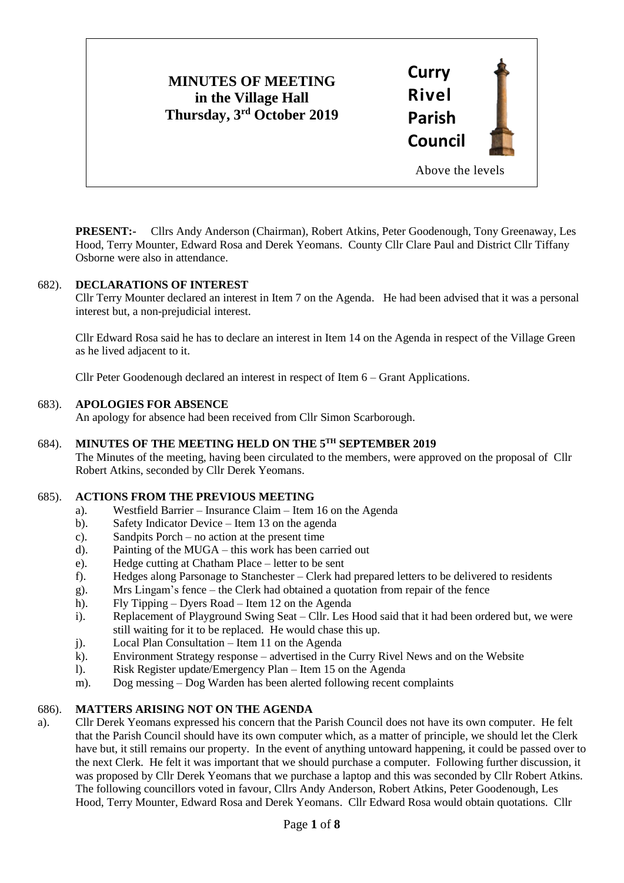# **MINUTES OF MEETING in the Village Hall Thursday, 3rd October 2019**



**PRESENT:-** Cllrs Andy Anderson (Chairman), Robert Atkins, Peter Goodenough, Tony Greenaway, Les Hood, Terry Mounter, Edward Rosa and Derek Yeomans. County Cllr Clare Paul and District Cllr Tiffany Osborne were also in attendance.

## 682). **DECLARATIONS OF INTEREST**

Cllr Terry Mounter declared an interest in Item 7 on the Agenda. He had been advised that it was a personal interest but, a non-prejudicial interest.

Cllr Edward Rosa said he has to declare an interest in Item 14 on the Agenda in respect of the Village Green as he lived adjacent to it.

Cllr Peter Goodenough declared an interest in respect of Item 6 – Grant Applications.

## 683). **APOLOGIES FOR ABSENCE**

An apology for absence had been received from Cllr Simon Scarborough.

## 684). **MINUTES OF THE MEETING HELD ON THE 5 TH SEPTEMBER 2019**

The Minutes of the meeting, having been circulated to the members, were approved on the proposal of Cllr Robert Atkins, seconded by Cllr Derek Yeomans.

#### 685). **ACTIONS FROM THE PREVIOUS MEETING**

- a). Westfield Barrier Insurance Claim Item 16 on the Agenda
- b). Safety Indicator Device Item 13 on the agenda
- c). Sandpits Porch no action at the present time
- d). Painting of the MUGA this work has been carried out
- e). Hedge cutting at Chatham Place letter to be sent
- f). Hedges along Parsonage to Stanchester Clerk had prepared letters to be delivered to residents
- g). Mrs Lingam's fence the Clerk had obtained a quotation from repair of the fence
- h). Fly Tipping Dyers Road Item 12 on the Agenda
- i). Replacement of Playground Swing Seat Cllr. Les Hood said that it had been ordered but, we were still waiting for it to be replaced. He would chase this up.
- j). Local Plan Consultation Item 11 on the Agenda
- k). Environment Strategy response advertised in the Curry Rivel News and on the Website
- l). Risk Register update/Emergency Plan Item 15 on the Agenda
- m). Dog messing Dog Warden has been alerted following recent complaints

## 686). **MATTERS ARISING NOT ON THE AGENDA**

a). Cllr Derek Yeomans expressed his concern that the Parish Council does not have its own computer. He felt that the Parish Council should have its own computer which, as a matter of principle, we should let the Clerk have but, it still remains our property. In the event of anything untoward happening, it could be passed over to the next Clerk. He felt it was important that we should purchase a computer. Following further discussion, it was proposed by Cllr Derek Yeomans that we purchase a laptop and this was seconded by Cllr Robert Atkins. The following councillors voted in favour, Cllrs Andy Anderson, Robert Atkins, Peter Goodenough, Les Hood, Terry Mounter, Edward Rosa and Derek Yeomans. Cllr Edward Rosa would obtain quotations. Cllr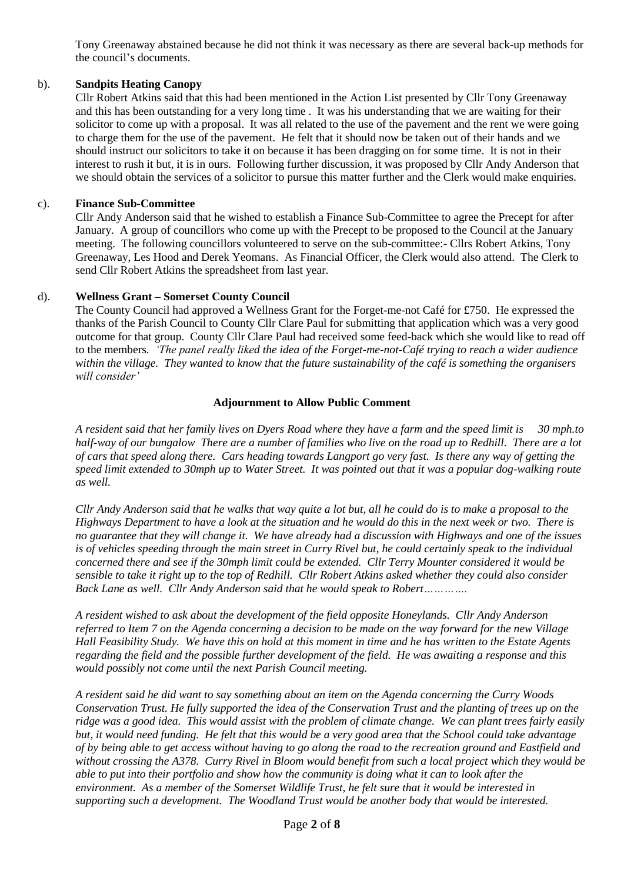Tony Greenaway abstained because he did not think it was necessary as there are several back-up methods for the council's documents.

## b). **Sandpits Heating Canopy**

Cllr Robert Atkins said that this had been mentioned in the Action List presented by Cllr Tony Greenaway and this has been outstanding for a very long time . It was his understanding that we are waiting for their solicitor to come up with a proposal. It was all related to the use of the pavement and the rent we were going to charge them for the use of the pavement. He felt that it should now be taken out of their hands and we should instruct our solicitors to take it on because it has been dragging on for some time. It is not in their interest to rush it but, it is in ours. Following further discussion, it was proposed by Cllr Andy Anderson that we should obtain the services of a solicitor to pursue this matter further and the Clerk would make enquiries.

## c). **Finance Sub-Committee**

Cllr Andy Anderson said that he wished to establish a Finance Sub-Committee to agree the Precept for after January. A group of councillors who come up with the Precept to be proposed to the Council at the January meeting. The following councillors volunteered to serve on the sub-committee:- Cllrs Robert Atkins, Tony Greenaway, Les Hood and Derek Yeomans. As Financial Officer, the Clerk would also attend. The Clerk to send Cllr Robert Atkins the spreadsheet from last year.

## d). **Wellness Grant – Somerset County Council**

The County Council had approved a Wellness Grant for the Forget-me-not Café for £750. He expressed the thanks of the Parish Council to County Cllr Clare Paul for submitting that application which was a very good outcome for that group. County Cllr Clare Paul had received some feed-back which she would like to read off to the members*. 'The panel really liked the idea of the Forget-me-not-Café trying to reach a wider audience within the village. They wanted to know that the future sustainability of the café is something the organisers will consider'*

## **Adjournment to Allow Public Comment**

*A resident said that her family lives on Dyers Road where they have a farm and the speed limit is 30 mph.to half-way of our bungalow There are a number of families who live on the road up to Redhill. There are a lot of cars that speed along there. Cars heading towards Langport go very fast. Is there any way of getting the speed limit extended to 30mph up to Water Street. It was pointed out that it was a popular dog-walking route as well.* 

*Cllr Andy Anderson said that he walks that way quite a lot but, all he could do is to make a proposal to the Highways Department to have a look at the situation and he would do this in the next week or two. There is no guarantee that they will change it. We have already had a discussion with Highways and one of the issues is of vehicles speeding through the main street in Curry Rivel but, he could certainly speak to the individual concerned there and see if the 30mph limit could be extended. Cllr Terry Mounter considered it would be sensible to take it right up to the top of Redhill. Cllr Robert Atkins asked whether they could also consider Back Lane as well. Cllr Andy Anderson said that he would speak to Robert………….*

*A resident wished to ask about the development of the field opposite Honeylands. Cllr Andy Anderson referred to Item 7 on the Agenda concerning a decision to be made on the way forward for the new Village Hall Feasibility Study. We have this on hold at this moment in time and he has written to the Estate Agents regarding the field and the possible further development of the field. He was awaiting a response and this would possibly not come until the next Parish Council meeting.* 

*A resident said he did want to say something about an item on the Agenda concerning the Curry Woods Conservation Trust. He fully supported the idea of the Conservation Trust and the planting of trees up on the ridge was a good idea. This would assist with the problem of climate change. We can plant trees fairly easily but, it would need funding. He felt that this would be a very good area that the School could take advantage of by being able to get access without having to go along the road to the recreation ground and Eastfield and without crossing the A378. Curry Rivel in Bloom would benefit from such a local project which they would be able to put into their portfolio and show how the community is doing what it can to look after the environment. As a member of the Somerset Wildlife Trust, he felt sure that it would be interested in supporting such a development. The Woodland Trust would be another body that would be interested.*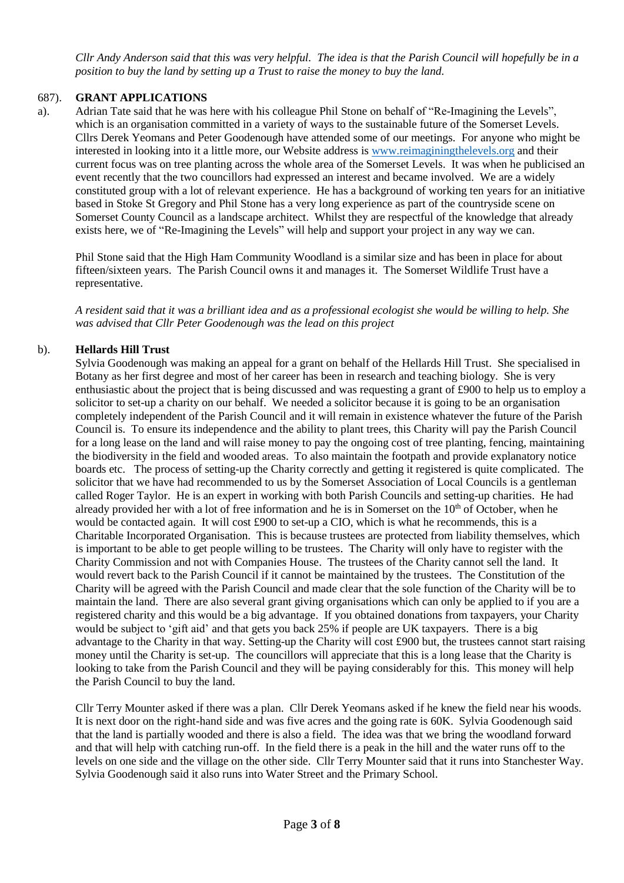*Cllr Andy Anderson said that this was very helpful. The idea is that the Parish Council will hopefully be in a position to buy the land by setting up a Trust to raise the money to buy the land.* 

# 687). **GRANT APPLICATIONS**

a). Adrian Tate said that he was here with his colleague Phil Stone on behalf of "Re-Imagining the Levels", which is an organisation committed in a variety of ways to the sustainable future of the Somerset Levels. Cllrs Derek Yeomans and Peter Goodenough have attended some of our meetings. For anyone who might be interested in looking into it a little more, our Website address i[s www.reimaginingthelevels.org](http://www.reimaginingthelevels.org/) and their current focus was on tree planting across the whole area of the Somerset Levels. It was when he publicised an event recently that the two councillors had expressed an interest and became involved. We are a widely constituted group with a lot of relevant experience. He has a background of working ten years for an initiative based in Stoke St Gregory and Phil Stone has a very long experience as part of the countryside scene on Somerset County Council as a landscape architect. Whilst they are respectful of the knowledge that already exists here, we of "Re-Imagining the Levels" will help and support your project in any way we can.

Phil Stone said that the High Ham Community Woodland is a similar size and has been in place for about fifteen/sixteen years. The Parish Council owns it and manages it. The Somerset Wildlife Trust have a representative.

*A resident said that it was a brilliant idea and as a professional ecologist she would be willing to help. She was advised that Cllr Peter Goodenough was the lead on this project* 

# b). **Hellards Hill Trust**

Sylvia Goodenough was making an appeal for a grant on behalf of the Hellards Hill Trust. She specialised in Botany as her first degree and most of her career has been in research and teaching biology. She is very enthusiastic about the project that is being discussed and was requesting a grant of £900 to help us to employ a solicitor to set-up a charity on our behalf. We needed a solicitor because it is going to be an organisation completely independent of the Parish Council and it will remain in existence whatever the future of the Parish Council is. To ensure its independence and the ability to plant trees, this Charity will pay the Parish Council for a long lease on the land and will raise money to pay the ongoing cost of tree planting, fencing, maintaining the biodiversity in the field and wooded areas. To also maintain the footpath and provide explanatory notice boards etc. The process of setting-up the Charity correctly and getting it registered is quite complicated. The solicitor that we have had recommended to us by the Somerset Association of Local Councils is a gentleman called Roger Taylor. He is an expert in working with both Parish Councils and setting-up charities. He had already provided her with a lot of free information and he is in Somerset on the 10<sup>th</sup> of October, when he would be contacted again. It will cost £900 to set-up a CIO, which is what he recommends, this is a Charitable Incorporated Organisation. This is because trustees are protected from liability themselves, which is important to be able to get people willing to be trustees. The Charity will only have to register with the Charity Commission and not with Companies House. The trustees of the Charity cannot sell the land. It would revert back to the Parish Council if it cannot be maintained by the trustees. The Constitution of the Charity will be agreed with the Parish Council and made clear that the sole function of the Charity will be to maintain the land. There are also several grant giving organisations which can only be applied to if you are a registered charity and this would be a big advantage. If you obtained donations from taxpayers, your Charity would be subject to 'gift aid' and that gets you back 25% if people are UK taxpayers. There is a big advantage to the Charity in that way. Setting-up the Charity will cost £900 but, the trustees cannot start raising money until the Charity is set-up. The councillors will appreciate that this is a long lease that the Charity is looking to take from the Parish Council and they will be paying considerably for this. This money will help the Parish Council to buy the land.

Cllr Terry Mounter asked if there was a plan. Cllr Derek Yeomans asked if he knew the field near his woods. It is next door on the right-hand side and was five acres and the going rate is 60K. Sylvia Goodenough said that the land is partially wooded and there is also a field. The idea was that we bring the woodland forward and that will help with catching run-off. In the field there is a peak in the hill and the water runs off to the levels on one side and the village on the other side. Cllr Terry Mounter said that it runs into Stanchester Way. Sylvia Goodenough said it also runs into Water Street and the Primary School.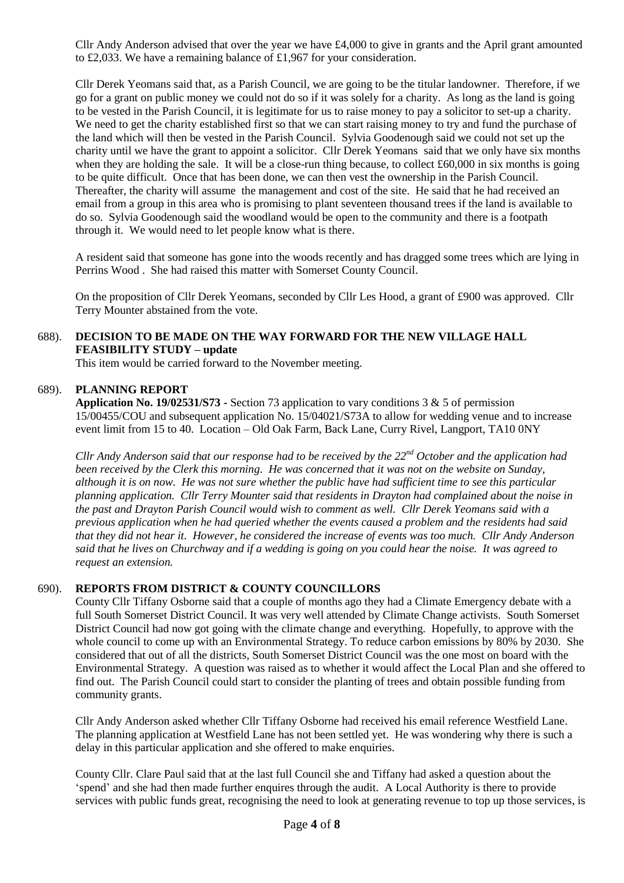Cllr Andy Anderson advised that over the year we have £4,000 to give in grants and the April grant amounted to £2,033. We have a remaining balance of £1,967 for your consideration.

Cllr Derek Yeomans said that, as a Parish Council, we are going to be the titular landowner. Therefore, if we go for a grant on public money we could not do so if it was solely for a charity. As long as the land is going to be vested in the Parish Council, it is legitimate for us to raise money to pay a solicitor to set-up a charity. We need to get the charity established first so that we can start raising money to try and fund the purchase of the land which will then be vested in the Parish Council. Sylvia Goodenough said we could not set up the charity until we have the grant to appoint a solicitor. Cllr Derek Yeomans said that we only have six months when they are holding the sale. It will be a close-run thing because, to collect £60,000 in six months is going to be quite difficult. Once that has been done, we can then vest the ownership in the Parish Council. Thereafter, the charity will assume the management and cost of the site. He said that he had received an email from a group in this area who is promising to plant seventeen thousand trees if the land is available to do so. Sylvia Goodenough said the woodland would be open to the community and there is a footpath through it. We would need to let people know what is there.

A resident said that someone has gone into the woods recently and has dragged some trees which are lying in Perrins Wood . She had raised this matter with Somerset County Council.

On the proposition of Cllr Derek Yeomans, seconded by Cllr Les Hood, a grant of £900 was approved. Cllr Terry Mounter abstained from the vote.

#### 688). **DECISION TO BE MADE ON THE WAY FORWARD FOR THE NEW VILLAGE HALL FEASIBILITY STUDY – update**

This item would be carried forward to the November meeting.

#### 689). **PLANNING REPORT**

**Application No. 19/02531/S73 -** Section 73 application to vary conditions 3 & 5 of permission 15/00455/COU and subsequent application No. 15/04021/S73A to allow for wedding venue and to increase event limit from 15 to 40. Location – Old Oak Farm, Back Lane, Curry Rivel, Langport, TA10 0NY

*Cllr Andy Anderson said that our response had to be received by the 22nd October and the application had been received by the Clerk this morning. He was concerned that it was not on the website on Sunday, although it is on now. He was not sure whether the public have had sufficient time to see this particular planning application. Cllr Terry Mounter said that residents in Drayton had complained about the noise in the past and Drayton Parish Council would wish to comment as well. Cllr Derek Yeomans said with a previous application when he had queried whether the events caused a problem and the residents had said that they did not hear it. However, he considered the increase of events was too much. Cllr Andy Anderson said that he lives on Churchway and if a wedding is going on you could hear the noise. It was agreed to request an extension.*

#### 690). **REPORTS FROM DISTRICT & COUNTY COUNCILLORS**

County Cllr Tiffany Osborne said that a couple of months ago they had a Climate Emergency debate with a full South Somerset District Council. It was very well attended by Climate Change activists. South Somerset District Council had now got going with the climate change and everything. Hopefully, to approve with the whole council to come up with an Environmental Strategy. To reduce carbon emissions by 80% by 2030. She considered that out of all the districts, South Somerset District Council was the one most on board with the Environmental Strategy. A question was raised as to whether it would affect the Local Plan and she offered to find out. The Parish Council could start to consider the planting of trees and obtain possible funding from community grants.

Cllr Andy Anderson asked whether Cllr Tiffany Osborne had received his email reference Westfield Lane. The planning application at Westfield Lane has not been settled yet. He was wondering why there is such a delay in this particular application and she offered to make enquiries.

County Cllr. Clare Paul said that at the last full Council she and Tiffany had asked a question about the 'spend' and she had then made further enquires through the audit. A Local Authority is there to provide services with public funds great, recognising the need to look at generating revenue to top up those services, is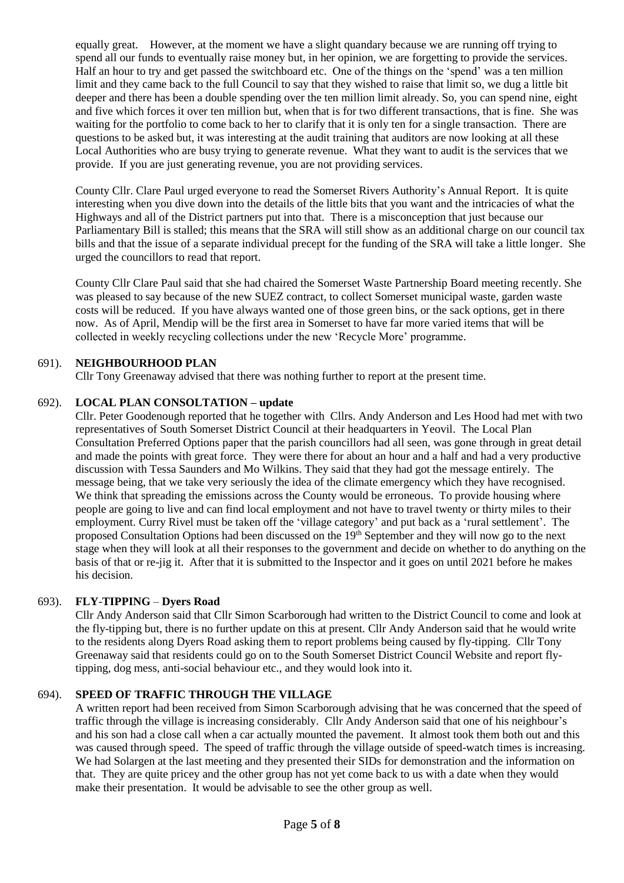equally great. However, at the moment we have a slight quandary because we are running off trying to spend all our funds to eventually raise money but, in her opinion, we are forgetting to provide the services. Half an hour to try and get passed the switchboard etc. One of the things on the 'spend' was a ten million limit and they came back to the full Council to say that they wished to raise that limit so, we dug a little bit deeper and there has been a double spending over the ten million limit already. So, you can spend nine, eight and five which forces it over ten million but, when that is for two different transactions, that is fine. She was waiting for the portfolio to come back to her to clarify that it is only ten for a single transaction. There are questions to be asked but, it was interesting at the audit training that auditors are now looking at all these Local Authorities who are busy trying to generate revenue. What they want to audit is the services that we provide. If you are just generating revenue, you are not providing services.

County Cllr. Clare Paul urged everyone to read the Somerset Rivers Authority's Annual Report. It is quite interesting when you dive down into the details of the little bits that you want and the intricacies of what the Highways and all of the District partners put into that. There is a misconception that just because our Parliamentary Bill is stalled; this means that the SRA will still show as an additional charge on our council tax bills and that the issue of a separate individual precept for the funding of the SRA will take a little longer. She urged the councillors to read that report.

County Cllr Clare Paul said that she had chaired the Somerset Waste Partnership Board meeting recently. She was pleased to say because of the new SUEZ contract, to collect Somerset municipal waste, garden waste costs will be reduced. If you have always wanted one of those green bins, or the sack options, get in there now. As of April, Mendip will be the first area in Somerset to have far more varied items that will be collected in weekly recycling collections under the new 'Recycle More' programme.

# 691). **NEIGHBOURHOOD PLAN**

Cllr Tony Greenaway advised that there was nothing further to report at the present time.

# 692). **LOCAL PLAN CONSOLTATION – update**

Cllr. Peter Goodenough reported that he together with Cllrs. Andy Anderson and Les Hood had met with two representatives of South Somerset District Council at their headquarters in Yeovil. The Local Plan Consultation Preferred Options paper that the parish councillors had all seen, was gone through in great detail and made the points with great force. They were there for about an hour and a half and had a very productive discussion with Tessa Saunders and Mo Wilkins. They said that they had got the message entirely. The message being, that we take very seriously the idea of the climate emergency which they have recognised. We think that spreading the emissions across the County would be erroneous. To provide housing where people are going to live and can find local employment and not have to travel twenty or thirty miles to their employment. Curry Rivel must be taken off the 'village category' and put back as a 'rural settlement'. The proposed Consultation Options had been discussed on the 19th September and they will now go to the next stage when they will look at all their responses to the government and decide on whether to do anything on the basis of that or re-jig it. After that it is submitted to the Inspector and it goes on until 2021 before he makes his decision.

## 693). **FLY**-**TIPPING** – **Dyers Road**

Cllr Andy Anderson said that Cllr Simon Scarborough had written to the District Council to come and look at the fly-tipping but, there is no further update on this at present*.* Cllr Andy Anderson said that he would write to the residents along Dyers Road asking them to report problems being caused by fly-tipping. Cllr Tony Greenaway said that residents could go on to the South Somerset District Council Website and report flytipping, dog mess, anti-social behaviour etc., and they would look into it.

## 694). **SPEED OF TRAFFIC THROUGH THE VILLAGE**

A written report had been received from Simon Scarborough advising that he was concerned that the speed of traffic through the village is increasing considerably. Cllr Andy Anderson said that one of his neighbour's and his son had a close call when a car actually mounted the pavement. It almost took them both out and this was caused through speed. The speed of traffic through the village outside of speed-watch times is increasing. We had Solargen at the last meeting and they presented their SIDs for demonstration and the information on that. They are quite pricey and the other group has not yet come back to us with a date when they would make their presentation. It would be advisable to see the other group as well.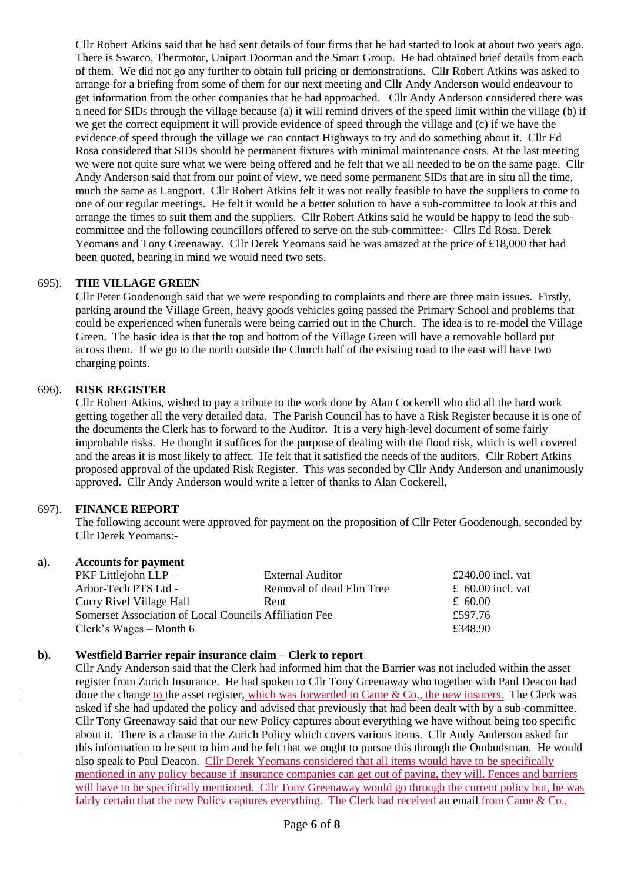Cllr Robert Atkins said that he had sent details of four firms that he had started to look at about two years ago. There is Swarco, Thermotor, Unipart Doorman and the Smart Group. He had obtained brief details from each of them. We did not go any further to obtain full pricing or demonstrations. Cllr Robert Atkins was asked to arrange for a briefing from some of them for our next meeting and Cllr Andy Anderson would endeavour to get information from the other companies that he had approached. Cllr Andy Anderson considered there was a need for SIDs through the village because (a) it will remind drivers of the speed limit within the village (b) if we get the correct equipment it will provide evidence of speed through the village and (c) if we have the evidence of speed through the village we can contact Highways to try and do something about it. Cllr Ed Rosa considered that SIDs should be permanent fixtures with minimal maintenance costs. At the last meeting we were not quite sure what we were being offered and he felt that we all needed to be on the same page. Cllr Andy Anderson said that from our point of view, we need some permanent SIDs that are in situ all the time, much the same as Langport. Cllr Robert Atkins felt it was not really feasible to have the suppliers to come to one of our regular meetings. He felt it would be a better solution to have a sub-committee to look at this and arrange the times to suit them and the suppliers. Cllr Robert Atkins said he would be happy to lead the subcommittee and the following councillors offered to serve on the sub-committee:- Cllrs Ed Rosa. Derek Yeomans and Tony Greenaway. Cllr Derek Yeomans said he was amazed at the price of £18,000 that had been quoted, bearing in mind we would need two sets.

#### 695). **THE VILLAGE GREEN**

Cllr Peter Goodenough said that we were responding to complaints and there are three main issues. Firstly, parking around the Village Green, heavy goods vehicles going passed the Primary School and problems that could be experienced when funerals were being carried out in the Church. The idea is to re-model the Village Green. The basic idea is that the top and bottom of the Village Green will have a removable bollard put across them. If we go to the north outside the Church half of the existing road to the east will have two charging points.

# 696). **RISK REGISTER**

Cllr Robert Atkins, wished to pay a tribute to the work done by Alan Cockerell who did all the hard work getting together all the very detailed data. The Parish Council has to have a Risk Register because it is one of the documents the Clerk has to forward to the Auditor. It is a very high-level document of some fairly improbable risks. He thought it suffices for the purpose of dealing with the flood risk, which is well covered and the areas it is most likely to affect. He felt that it satisfied the needs of the auditors. Cllr Robert Atkins proposed approval of the updated Risk Register. This was seconded by Cllr Andy Anderson and unanimously approved. Cllr Andy Anderson would write a letter of thanks to Alan Cockerell,

#### 697). **FINANCE REPORT**

The following account were approved for payment on the proposition of Cllr Peter Goodenough, seconded by Cllr Derek Yeomans:-

## **a). Accounts for payment**

| $PKF$ Littlejohn $LLP-$                                | External Auditor         | £240.00 incl. vat |
|--------------------------------------------------------|--------------------------|-------------------|
| Arbor-Tech PTS Ltd -                                   | Removal of dead Elm Tree | £ 60.00 incl. vat |
| Curry Rivel Village Hall                               | Rent                     | £ 60.00           |
| Somerset Association of Local Councils Affiliation Fee |                          | £597.76           |
| Clerk's Wages – Month 6                                |                          | £348.90           |

#### **b). Westfield Barrier repair insurance claim – Clerk to report**

Cllr Andy Anderson said that the Clerk had informed him that the Barrier was not included within the asset register from Zurich Insurance. He had spoken to Cllr Tony Greenaway who together with Paul Deacon had done the change to the asset register, which was forwarded to Came & Co., the new insurers. The Clerk was asked if she had updated the policy and advised that previously that had been dealt with by a sub-committee. Cllr Tony Greenaway said that our new Policy captures about everything we have without being too specific about it. There is a clause in the Zurich Policy which covers various items. Cllr Andy Anderson asked for this information to be sent to him and he felt that we ought to pursue this through the Ombudsman. He would also speak to Paul Deacon. Cllr Derek Yeomans considered that all items would have to be specifically mentioned in any policy because if insurance companies can get out of paying, they will. Fences and barriers will have to be specifically mentioned. Cllr Tony Greenaway would go through the current policy but, he was fairly certain that the new Policy captures everything. The Clerk had received an email from Came & Co.,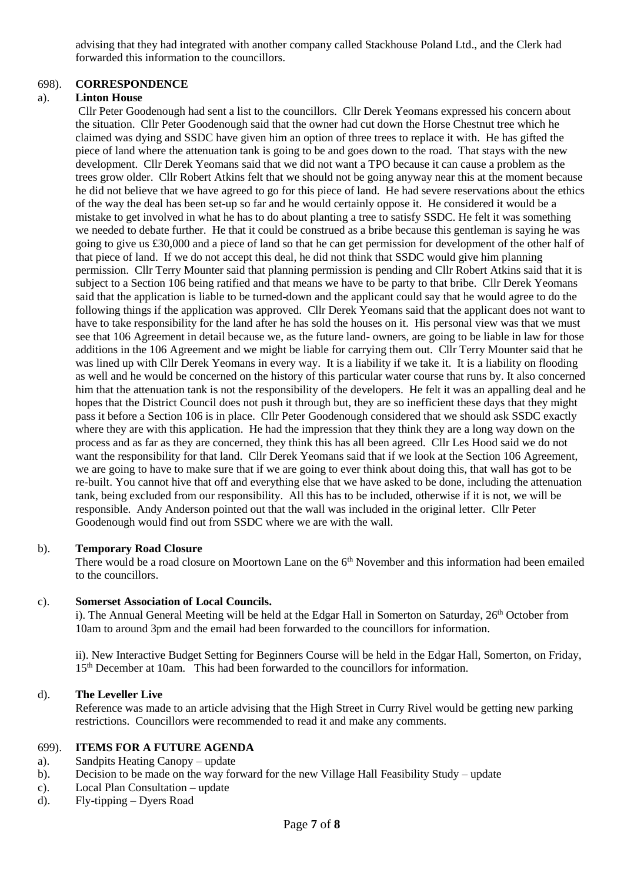advising that they had integrated with another company called Stackhouse Poland Ltd., and the Clerk had forwarded this information to the councillors.

## 698). **CORRESPONDENCE**

#### a). **Linton House**

Cllr Peter Goodenough had sent a list to the councillors. Cllr Derek Yeomans expressed his concern about the situation. Cllr Peter Goodenough said that the owner had cut down the Horse Chestnut tree which he claimed was dying and SSDC have given him an option of three trees to replace it with. He has gifted the piece of land where the attenuation tank is going to be and goes down to the road. That stays with the new development. Cllr Derek Yeomans said that we did not want a TPO because it can cause a problem as the trees grow older. Cllr Robert Atkins felt that we should not be going anyway near this at the moment because he did not believe that we have agreed to go for this piece of land. He had severe reservations about the ethics of the way the deal has been set-up so far and he would certainly oppose it. He considered it would be a mistake to get involved in what he has to do about planting a tree to satisfy SSDC. He felt it was something we needed to debate further. He that it could be construed as a bribe because this gentleman is saying he was going to give us £30,000 and a piece of land so that he can get permission for development of the other half of that piece of land. If we do not accept this deal, he did not think that SSDC would give him planning permission. Cllr Terry Mounter said that planning permission is pending and Cllr Robert Atkins said that it is subject to a Section 106 being ratified and that means we have to be party to that bribe. Cllr Derek Yeomans said that the application is liable to be turned-down and the applicant could say that he would agree to do the following things if the application was approved. Cllr Derek Yeomans said that the applicant does not want to have to take responsibility for the land after he has sold the houses on it. His personal view was that we must see that 106 Agreement in detail because we, as the future land- owners, are going to be liable in law for those additions in the 106 Agreement and we might be liable for carrying them out. Cllr Terry Mounter said that he was lined up with Cllr Derek Yeomans in every way. It is a liability if we take it. It is a liability on flooding as well and he would be concerned on the history of this particular water course that runs by. It also concerned him that the attenuation tank is not the responsibility of the developers. He felt it was an appalling deal and he hopes that the District Council does not push it through but, they are so inefficient these days that they might pass it before a Section 106 is in place. Cllr Peter Goodenough considered that we should ask SSDC exactly where they are with this application. He had the impression that they think they are a long way down on the process and as far as they are concerned, they think this has all been agreed. Cllr Les Hood said we do not want the responsibility for that land. Cllr Derek Yeomans said that if we look at the Section 106 Agreement, we are going to have to make sure that if we are going to ever think about doing this, that wall has got to be re-built. You cannot hive that off and everything else that we have asked to be done, including the attenuation tank, being excluded from our responsibility. All this has to be included, otherwise if it is not, we will be responsible. Andy Anderson pointed out that the wall was included in the original letter. Cllr Peter Goodenough would find out from SSDC where we are with the wall.

#### b). **Temporary Road Closure**

There would be a road closure on Moortown Lane on the 6<sup>th</sup> November and this information had been emailed to the councillors.

#### c). **Somerset Association of Local Councils.**

i). The Annual General Meeting will be held at the Edgar Hall in Somerton on Saturday,  $26<sup>th</sup>$  October from 10am to around 3pm and the email had been forwarded to the councillors for information.

ii). New Interactive Budget Setting for Beginners Course will be held in the Edgar Hall, Somerton, on Friday, 15th December at 10am. This had been forwarded to the councillors for information.

#### d). **The Leveller Live**

Reference was made to an article advising that the High Street in Curry Rivel would be getting new parking restrictions. Councillors were recommended to read it and make any comments.

#### 699). **ITEMS FOR A FUTURE AGENDA**

- a). Sandpits Heating Canopy update
- b). Decision to be made on the way forward for the new Village Hall Feasibility Study update
- c). Local Plan Consultation update
- d). Fly-tipping Dyers Road